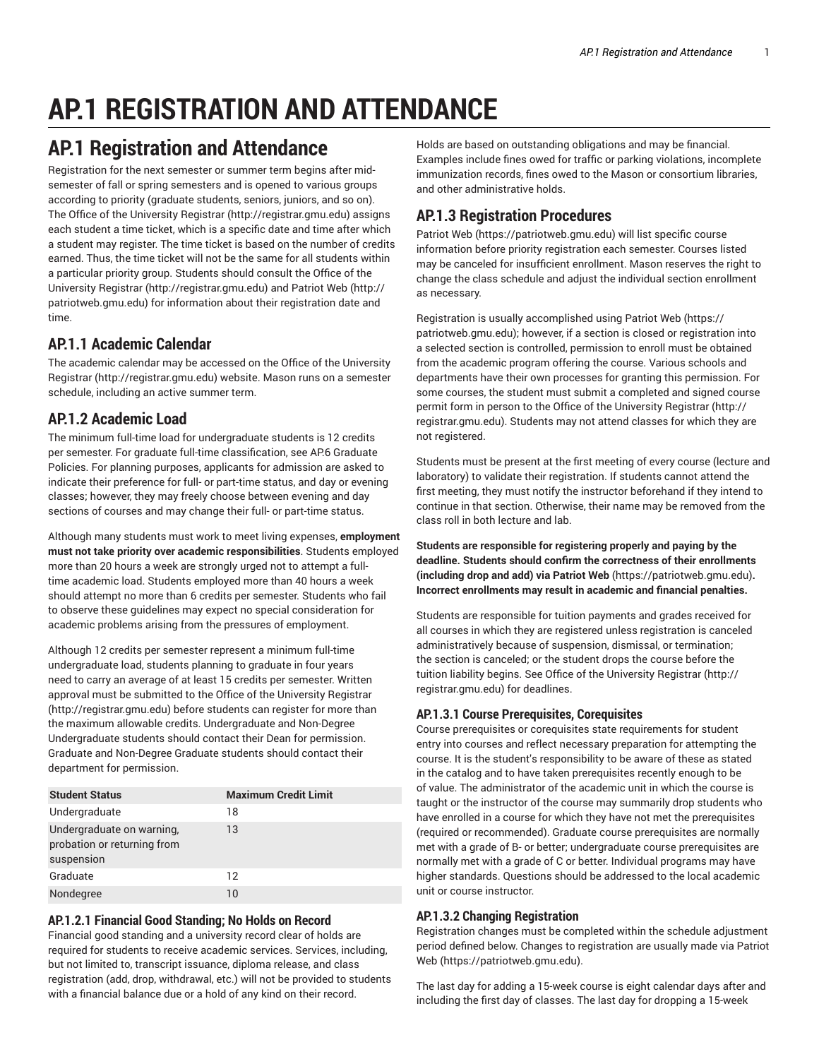# **AP.1 REGISTRATION AND ATTENDANCE**

## **AP.1 Registration and Attendance**

Registration for the next semester or summer term begins after midsemester of fall or spring semesters and is opened to various groups according to priority (graduate students, seniors, juniors, and so on). The Office of the University Registrar (http://registrar.gmu.edu) assigns each student a time ticket, which is a specific date and time after which a student may register. The time ticket is based on the number of credits earned. Thus, the time ticket will not be the same for all students within a particular priority group. Students should consult the Office of the University Registrar (http://registrar.gmu.edu) and Patriot Web (http:// patriotweb.gmu.edu) for information about their registration date and time.

## **AP.1.1 Academic Calendar**

The academic calendar may be accessed on the Office of the University Registrar (http://registrar.gmu.edu) website. Mason runs on a semester schedule, including an active summer term.

## **AP.1.2 Academic Load**

The minimum full-time load for undergraduate students is 12 credits per semester. For graduate full-time classification, see AP.6 Graduate Policies. For planning purposes, applicants for admission are asked to indicate their preference for full- or part-time status, and day or evening classes; however, they may freely choose between evening and day sections of courses and may change their full- or part-time status.

Although many students must work to meet living expenses, **employment must not take priority over academic responsibilities**. Students employed more than 20 hours a week are strongly urged not to attempt a fulltime academic load. Students employed more than 40 hours a week should attempt no more than 6 credits per semester. Students who fail to observe these guidelines may expect no special consideration for academic problems arising from the pressures of employment.

Although 12 credits per semester represent a minimum full-time undergraduate load, students planning to graduate in four years need to carry an average of at least 15 credits per semester. Written approval must be submitted to the Office of the University Registrar (http://registrar.gmu.edu) before students can register for more than the maximum allowable credits. Undergraduate and Non-Degree Undergraduate students should contact their Dean for permission. Graduate and Non-Degree Graduate students should contact their department for permission.

| <b>Student Status</b>                                                  | <b>Maximum Credit Limit</b> |
|------------------------------------------------------------------------|-----------------------------|
| Undergraduate                                                          | 18                          |
| Undergraduate on warning,<br>probation or returning from<br>suspension | 13                          |
| Graduate                                                               | 12                          |
| Nondegree                                                              | 10                          |

#### **AP.1.2.1 Financial Good Standing; No Holds on Record**

Financial good standing and a university record clear of holds are required for students to receive academic services. Services, including, but not limited to, transcript issuance, diploma release, and class registration (add, drop, withdrawal, etc.) will not be provided to students with a financial balance due or a hold of any kind on their record.

Holds are based on outstanding obligations and may be financial. Examples include fines owed for traffic or parking violations, incomplete immunization records, fines owed to the Mason or consortium libraries, and other administrative holds.

## **AP.1.3 Registration Procedures**

Patriot Web (https://patriotweb.gmu.edu) will list specific course information before priority registration each semester. Courses listed may be canceled for insufficient enrollment. Mason reserves the right to change the class schedule and adjust the individual section enrollment as necessary.

Registration is usually accomplished using Patriot Web (https:// patriotweb.gmu.edu); however, if a section is closed or registration into a selected section is controlled, permission to enroll must be obtained from the academic program offering the course. Various schools and departments have their own processes for granting this permission. For some courses, the student must submit a completed and signed course permit form in person to the Office of the University Registrar (http:// registrar.gmu.edu). Students may not attend classes for which they are not registered.

Students must be present at the first meeting of every course (lecture and laboratory) to validate their registration. If students cannot attend the first meeting, they must notify the instructor beforehand if they intend to continue in that section. Otherwise, their name may be removed from the class roll in both lecture and lab.

**Students are responsible for registering properly and paying by the deadline. Students should confirm the correctness of their enrollments (including drop and add) via Patriot Web** (https://patriotweb.gmu.edu)**. Incorrect enrollments may result in academic and financial penalties.**

Students are responsible for tuition payments and grades received for all courses in which they are registered unless registration is canceled administratively because of suspension, dismissal, or termination; the section is canceled; or the student drops the course before the tuition liability begins. See Office of the University Registrar (http:// registrar.gmu.edu) for deadlines.

## **AP.1.3.1 Course Prerequisites, Corequisites**

Course prerequisites or corequisites state requirements for student entry into courses and reflect necessary preparation for attempting the course. It is the student's responsibility to be aware of these as stated in the catalog and to have taken prerequisites recently enough to be of value. The administrator of the academic unit in which the course is taught or the instructor of the course may summarily drop students who have enrolled in a course for which they have not met the prerequisites (required or recommended). Graduate course prerequisites are normally met with a grade of B- or better; undergraduate course prerequisites are normally met with a grade of C or better. Individual programs may have higher standards. Questions should be addressed to the local academic unit or course instructor.

## **AP.1.3.2 Changing Registration**

Registration changes must be completed within the schedule adjustment period defined below. Changes to registration are usually made via Patriot Web (https://patriotweb.gmu.edu).

The last day for adding a 15-week course is eight calendar days after and including the first day of classes. The last day for dropping a 15-week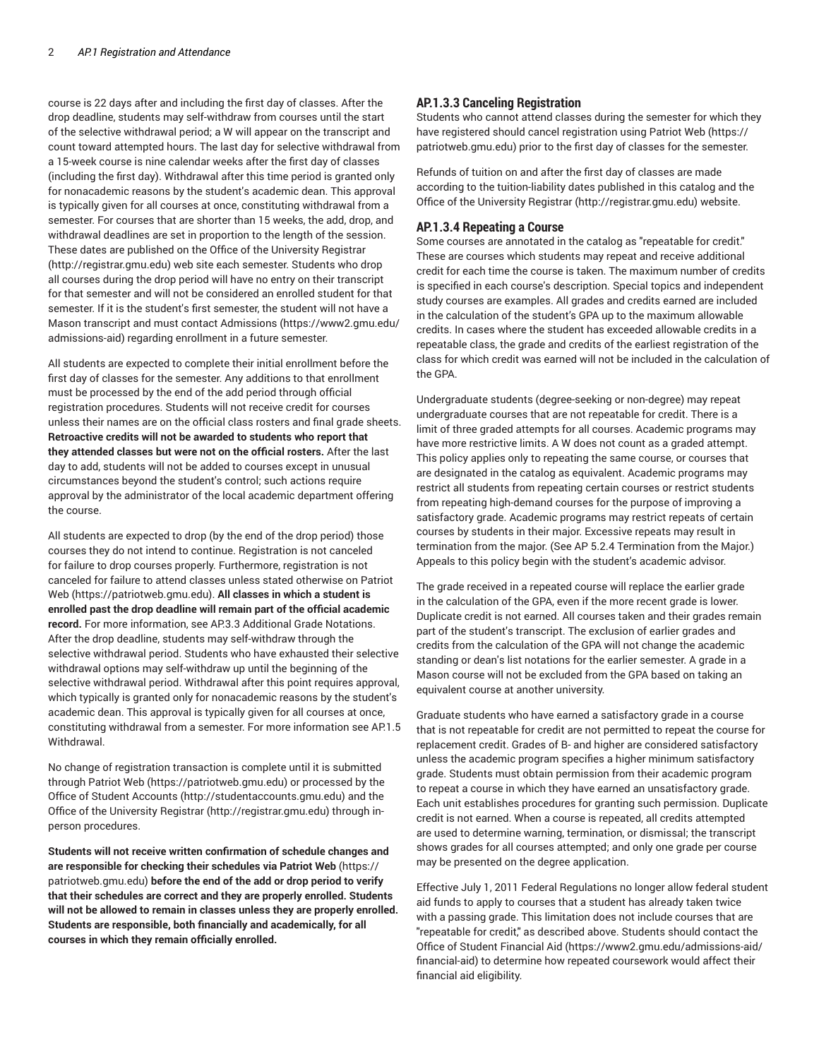course is 22 days after and including the first day of classes. After the drop deadline, students may self-withdraw from courses until the start of the selective withdrawal period; a W will appear on the transcript and count toward attempted hours. The last day for selective withdrawal from a 15-week course is nine calendar weeks after the first day of classes (including the first day). Withdrawal after this time period is granted only for nonacademic reasons by the student's academic dean. This approval is typically given for all courses at once, constituting withdrawal from a semester. For courses that are shorter than 15 weeks, the add, drop, and withdrawal deadlines are set in proportion to the length of the session. These dates are published on the Office of the University Registrar (http://registrar.gmu.edu) web site each semester. Students who drop all courses during the drop period will have no entry on their transcript for that semester and will not be considered an enrolled student for that semester. If it is the student's first semester, the student will not have a Mason transcript and must contact Admissions (https://www2.gmu.edu/ admissions-aid) regarding enrollment in a future semester.

All students are expected to complete their initial enrollment before the first day of classes for the semester. Any additions to that enrollment must be processed by the end of the add period through official registration procedures. Students will not receive credit for courses unless their names are on the official class rosters and final grade sheets. **Retroactive credits will not be awarded to students who report that they attended classes but were not on the official rosters.** After the last day to add, students will not be added to courses except in unusual circumstances beyond the student's control; such actions require approval by the administrator of the local academic department offering the course.

All students are expected to drop (by the end of the drop period) those courses they do not intend to continue. Registration is not canceled for failure to drop courses properly. Furthermore, registration is not canceled for failure to attend classes unless stated otherwise on Patriot Web (https://patriotweb.gmu.edu). **All classes in which a student is enrolled past the drop deadline will remain part of the official academic record.** For more information, see AP.3.3 Additional Grade Notations. After the drop deadline, students may self-withdraw through the selective withdrawal period. Students who have exhausted their selective withdrawal options may self-withdraw up until the beginning of the selective withdrawal period. Withdrawal after this point requires approval, which typically is granted only for nonacademic reasons by the student's academic dean. This approval is typically given for all courses at once, constituting withdrawal from a semester. For more information see AP.1.5 Withdrawal.

No change of registration transaction is complete until it is submitted through Patriot Web (https://patriotweb.gmu.edu) or processed by the Office of Student Accounts (http://studentaccounts.gmu.edu) and the Office of the University Registrar (http://registrar.gmu.edu) through inperson procedures.

**Students will not receive written confirmation of schedule changes and are responsible for checking their schedules via Patriot Web** (https:// patriotweb.gmu.edu) **before the end of the add or drop period to verify that their schedules are correct and they are properly enrolled. Students will not be allowed to remain in classes unless they are properly enrolled. Students are responsible, both financially and academically, for all courses in which they remain officially enrolled.**

#### **AP.1.3.3 Canceling Registration**

Students who cannot attend classes during the semester for which they have registered should cancel registration using Patriot Web (https:// patriotweb.gmu.edu) prior to the first day of classes for the semester.

Refunds of tuition on and after the first day of classes are made according to the tuition-liability dates published in this catalog and the Office of the University Registrar (http://registrar.gmu.edu) website.

#### **AP.1.3.4 Repeating a Course**

Some courses are annotated in the catalog as "repeatable for credit." These are courses which students may repeat and receive additional credit for each time the course is taken. The maximum number of credits is specified in each course's description. Special topics and independent study courses are examples. All grades and credits earned are included in the calculation of the student's GPA up to the maximum allowable credits. In cases where the student has exceeded allowable credits in a repeatable class, the grade and credits of the earliest registration of the class for which credit was earned will not be included in the calculation of the GPA.

Undergraduate students (degree-seeking or non-degree) may repeat undergraduate courses that are not repeatable for credit. There is a limit of three graded attempts for all courses. Academic programs may have more restrictive limits. A W does not count as a graded attempt. This policy applies only to repeating the same course, or courses that are designated in the catalog as equivalent. Academic programs may restrict all students from repeating certain courses or restrict students from repeating high-demand courses for the purpose of improving a satisfactory grade. Academic programs may restrict repeats of certain courses by students in their major. Excessive repeats may result in termination from the major. (See AP 5.2.4 Termination from the Major.) Appeals to this policy begin with the student's academic advisor.

The grade received in a repeated course will replace the earlier grade in the calculation of the GPA, even if the more recent grade is lower. Duplicate credit is not earned. All courses taken and their grades remain part of the student's transcript. The exclusion of earlier grades and credits from the calculation of the GPA will not change the academic standing or dean's list notations for the earlier semester. A grade in a Mason course will not be excluded from the GPA based on taking an equivalent course at another university.

Graduate students who have earned a satisfactory grade in a course that is not repeatable for credit are not permitted to repeat the course for replacement credit. Grades of B- and higher are considered satisfactory unless the academic program specifies a higher minimum satisfactory grade. Students must obtain permission from their academic program to repeat a course in which they have earned an unsatisfactory grade. Each unit establishes procedures for granting such permission. Duplicate credit is not earned. When a course is repeated, all credits attempted are used to determine warning, termination, or dismissal; the transcript shows grades for all courses attempted; and only one grade per course may be presented on the degree application.

Effective July 1, 2011 Federal Regulations no longer allow federal student aid funds to apply to courses that a student has already taken twice with a passing grade. This limitation does not include courses that are "repeatable for credit," as described above. Students should contact the Office of Student Financial Aid (https://www2.gmu.edu/admissions-aid/ financial-aid) to determine how repeated coursework would affect their financial aid eligibility.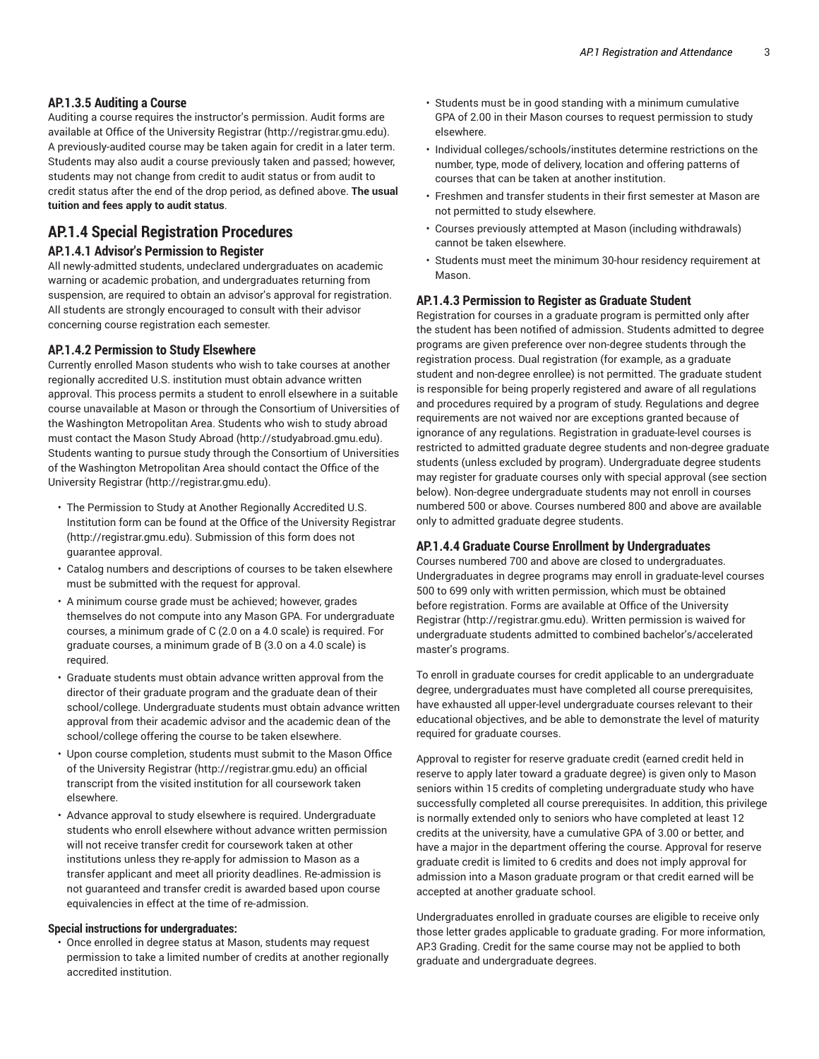#### **AP.1.3.5 Auditing a Course**

Auditing a course requires the instructor's permission. Audit forms are available at Office of the University Registrar (http://registrar.gmu.edu). A previously-audited course may be taken again for credit in a later term. Students may also audit a course previously taken and passed; however, students may not change from credit to audit status or from audit to credit status after the end of the drop period, as defined above. **The usual tuition and fees apply to audit status**.

## **AP.1.4 Special Registration Procedures**

#### **AP.1.4.1 Advisor's Permission to Register**

All newly-admitted students, undeclared undergraduates on academic warning or academic probation, and undergraduates returning from suspension, are required to obtain an advisor's approval for registration. All students are strongly encouraged to consult with their advisor concerning course registration each semester.

#### **AP.1.4.2 Permission to Study Elsewhere**

Currently enrolled Mason students who wish to take courses at another regionally accredited U.S. institution must obtain advance written approval. This process permits a student to enroll elsewhere in a suitable course unavailable at Mason or through the Consortium of Universities of the Washington Metropolitan Area. Students who wish to study abroad must contact the Mason Study Abroad (http://studyabroad.gmu.edu). Students wanting to pursue study through the Consortium of Universities of the Washington Metropolitan Area should contact the Office of the University Registrar (http://registrar.gmu.edu).

- The Permission to Study at Another Regionally Accredited U.S. Institution form can be found at the Office of the University Registrar (http://registrar.gmu.edu). Submission of this form does not guarantee approval.
- Catalog numbers and descriptions of courses to be taken elsewhere must be submitted with the request for approval.
- A minimum course grade must be achieved; however, grades themselves do not compute into any Mason GPA. For undergraduate courses, a minimum grade of C (2.0 on a 4.0 scale) is required. For graduate courses, a minimum grade of B (3.0 on a 4.0 scale) is required.
- Graduate students must obtain advance written approval from the director of their graduate program and the graduate dean of their school/college. Undergraduate students must obtain advance written approval from their academic advisor and the academic dean of the school/college offering the course to be taken elsewhere.
- Upon course completion, students must submit to the Mason Office of the University Registrar (http://registrar.gmu.edu) an official transcript from the visited institution for all coursework taken elsewhere.
- Advance approval to study elsewhere is required. Undergraduate students who enroll elsewhere without advance written permission will not receive transfer credit for coursework taken at other institutions unless they re-apply for admission to Mason as a transfer applicant and meet all priority deadlines. Re-admission is not guaranteed and transfer credit is awarded based upon course equivalencies in effect at the time of re-admission.

#### **Special instructions for undergraduates:**

• Once enrolled in degree status at Mason, students may request permission to take a limited number of credits at another regionally accredited institution.

- Students must be in good standing with a minimum cumulative GPA of 2.00 in their Mason courses to request permission to study elsewhere.
- Individual colleges/schools/institutes determine restrictions on the number, type, mode of delivery, location and offering patterns of courses that can be taken at another institution.
- Freshmen and transfer students in their first semester at Mason are not permitted to study elsewhere.
- Courses previously attempted at Mason (including withdrawals) cannot be taken elsewhere.
- Students must meet the minimum 30-hour residency requirement at Mason.

#### **AP.1.4.3 Permission to Register as Graduate Student**

Registration for courses in a graduate program is permitted only after the student has been notified of admission. Students admitted to degree programs are given preference over non-degree students through the registration process. Dual registration (for example, as a graduate student and non-degree enrollee) is not permitted. The graduate student is responsible for being properly registered and aware of all regulations and procedures required by a program of study. Regulations and degree requirements are not waived nor are exceptions granted because of ignorance of any regulations. Registration in graduate-level courses is restricted to admitted graduate degree students and non-degree graduate students (unless excluded by program). Undergraduate degree students may register for graduate courses only with special approval (see section below). Non-degree undergraduate students may not enroll in courses numbered 500 or above. Courses numbered 800 and above are available only to admitted graduate degree students.

#### **AP.1.4.4 Graduate Course Enrollment by Undergraduates**

Courses numbered 700 and above are closed to undergraduates. Undergraduates in degree programs may enroll in graduate-level courses 500 to 699 only with written permission, which must be obtained before registration. Forms are available at Office of the University Registrar (http://registrar.gmu.edu). Written permission is waived for undergraduate students admitted to combined bachelor's/accelerated master's programs.

To enroll in graduate courses for credit applicable to an undergraduate degree, undergraduates must have completed all course prerequisites, have exhausted all upper-level undergraduate courses relevant to their educational objectives, and be able to demonstrate the level of maturity required for graduate courses.

Approval to register for reserve graduate credit (earned credit held in reserve to apply later toward a graduate degree) is given only to Mason seniors within 15 credits of completing undergraduate study who have successfully completed all course prerequisites. In addition, this privilege is normally extended only to seniors who have completed at least 12 credits at the university, have a cumulative GPA of 3.00 or better, and have a major in the department offering the course. Approval for reserve graduate credit is limited to 6 credits and does not imply approval for admission into a Mason graduate program or that credit earned will be accepted at another graduate school.

Undergraduates enrolled in graduate courses are eligible to receive only those letter grades applicable to graduate grading. For more information, AP.3 Grading. Credit for the same course may not be applied to both graduate and undergraduate degrees.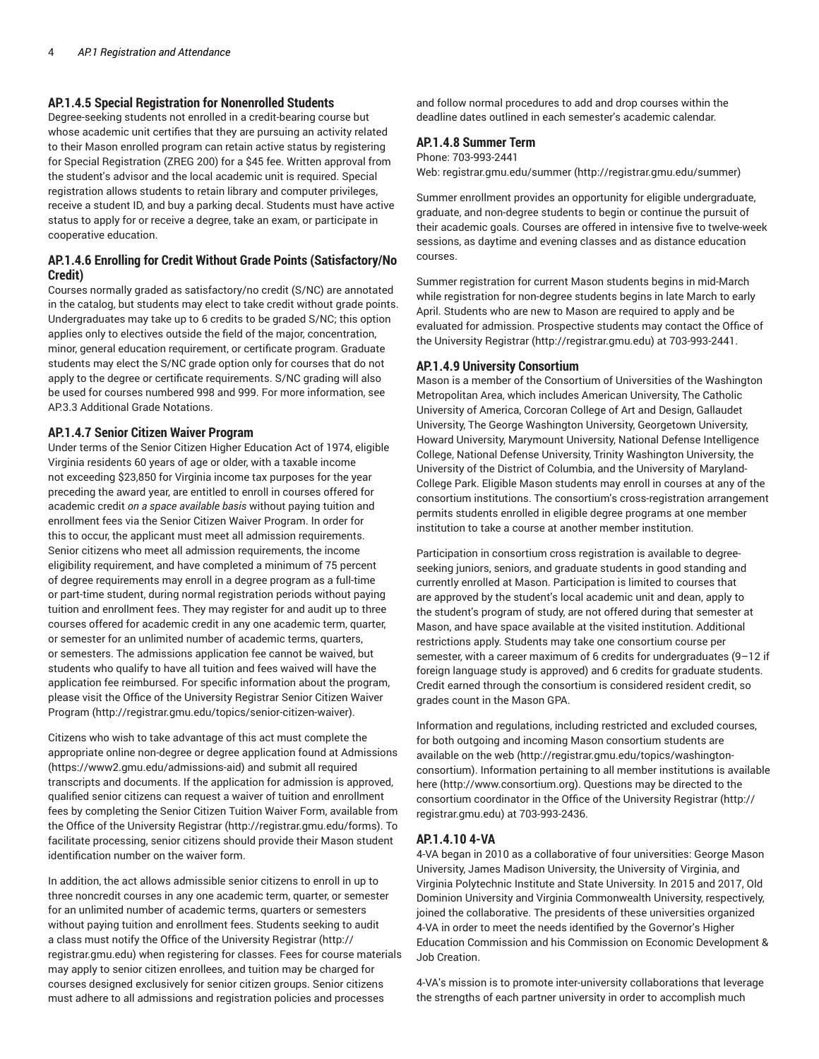#### **AP.1.4.5 Special Registration for Nonenrolled Students**

Degree-seeking students not enrolled in a credit-bearing course but whose academic unit certifies that they are pursuing an activity related to their Mason enrolled program can retain active status by registering for Special Registration (ZREG 200) for a \$45 fee. Written approval from the student's advisor and the local academic unit is required. Special registration allows students to retain library and computer privileges, receive a student ID, and buy a parking decal. Students must have active status to apply for or receive a degree, take an exam, or participate in cooperative education.

#### **AP.1.4.6 Enrolling for Credit Without Grade Points (Satisfactory/No Credit)**

Courses normally graded as satisfactory/no credit (S/NC) are annotated in the catalog, but students may elect to take credit without grade points. Undergraduates may take up to 6 credits to be graded S/NC; this option applies only to electives outside the field of the major, concentration, minor, general education requirement, or certificate program. Graduate students may elect the S/NC grade option only for courses that do not apply to the degree or certificate requirements. S/NC grading will also be used for courses numbered 998 and 999. For more information, see AP.3.3 Additional Grade Notations.

#### **AP.1.4.7 Senior Citizen Waiver Program**

Under terms of the Senior Citizen Higher Education Act of 1974, eligible Virginia residents 60 years of age or older, with a taxable income not exceeding \$23,850 for Virginia income tax purposes for the year preceding the award year, are entitled to enroll in courses offered for academic credit *on a space available basis* without paying tuition and enrollment fees via the Senior Citizen Waiver Program. In order for this to occur, the applicant must meet all admission requirements. Senior citizens who meet all admission requirements, the income eligibility requirement, and have completed a minimum of 75 percent of degree requirements may enroll in a degree program as a full-time or part-time student, during normal registration periods without paying tuition and enrollment fees. They may register for and audit up to three courses offered for academic credit in any one academic term, quarter, or semester for an unlimited number of academic terms, quarters, or semesters. The admissions application fee cannot be waived, but students who qualify to have all tuition and fees waived will have the application fee reimbursed. For specific information about the program, please visit the Office of the University Registrar Senior Citizen Waiver Program (http://registrar.gmu.edu/topics/senior-citizen-waiver).

Citizens who wish to take advantage of this act must complete the appropriate online non-degree or degree application found at Admissions (https://www2.gmu.edu/admissions-aid) and submit all required transcripts and documents. If the application for admission is approved, qualified senior citizens can request a waiver of tuition and enrollment fees by completing the Senior Citizen Tuition Waiver Form, available from the Office of the University Registrar (http://registrar.gmu.edu/forms). To facilitate processing, senior citizens should provide their Mason student identification number on the waiver form.

In addition, the act allows admissible senior citizens to enroll in up to three noncredit courses in any one academic term, quarter, or semester for an unlimited number of academic terms, quarters or semesters without paying tuition and enrollment fees. Students seeking to audit a class must notify the Office of the University Registrar (http:// registrar.gmu.edu) when registering for classes. Fees for course materials may apply to senior citizen enrollees, and tuition may be charged for courses designed exclusively for senior citizen groups. Senior citizens must adhere to all admissions and registration policies and processes

and follow normal procedures to add and drop courses within the deadline dates outlined in each semester's academic calendar.

#### **AP.1.4.8 Summer Term**

Phone: 703-993-2441

Web: registrar.gmu.edu/summer (http://registrar.gmu.edu/summer)

Summer enrollment provides an opportunity for eligible undergraduate, graduate, and non-degree students to begin or continue the pursuit of their academic goals. Courses are offered in intensive five to twelve-week sessions, as daytime and evening classes and as distance education courses.

Summer registration for current Mason students begins in mid-March while registration for non-degree students begins in late March to early April. Students who are new to Mason are required to apply and be evaluated for admission. Prospective students may contact the Office of the University Registrar (http://registrar.gmu.edu) at 703-993-2441.

#### **AP.1.4.9 University Consortium**

Mason is a member of the Consortium of Universities of the Washington Metropolitan Area, which includes American University, The Catholic University of America, Corcoran College of Art and Design, Gallaudet University, The George Washington University, Georgetown University, Howard University, Marymount University, National Defense Intelligence College, National Defense University, Trinity Washington University, the University of the District of Columbia, and the University of Maryland-College Park. Eligible Mason students may enroll in courses at any of the consortium institutions. The consortium's cross-registration arrangement permits students enrolled in eligible degree programs at one member institution to take a course at another member institution.

Participation in consortium cross registration is available to degreeseeking juniors, seniors, and graduate students in good standing and currently enrolled at Mason. Participation is limited to courses that are approved by the student's local academic unit and dean, apply to the student's program of study, are not offered during that semester at Mason, and have space available at the visited institution. Additional restrictions apply. Students may take one consortium course per semester, with a career maximum of 6 credits for undergraduates (9–12 if foreign language study is approved) and 6 credits for graduate students. Credit earned through the consortium is considered resident credit, so grades count in the Mason GPA.

Information and regulations, including restricted and excluded courses, for both outgoing and incoming Mason consortium students are available on the web (http://registrar.gmu.edu/topics/washingtonconsortium). Information pertaining to all member institutions is available here (http://www.consortium.org). Questions may be directed to the consortium coordinator in the Office of the University Registrar (http:// registrar.gmu.edu) at 703-993-2436.

#### **AP.1.4.10 4-VA**

4-VA began in 2010 as a collaborative of four universities: George Mason University, James Madison University, the University of Virginia, and Virginia Polytechnic Institute and State University. In 2015 and 2017, Old Dominion University and Virginia Commonwealth University, respectively, joined the collaborative. The presidents of these universities organized 4-VA in order to meet the needs identified by the Governor's Higher Education Commission and his Commission on Economic Development & Job Creation.

4-VA's mission is to promote inter-university collaborations that leverage the strengths of each partner university in order to accomplish much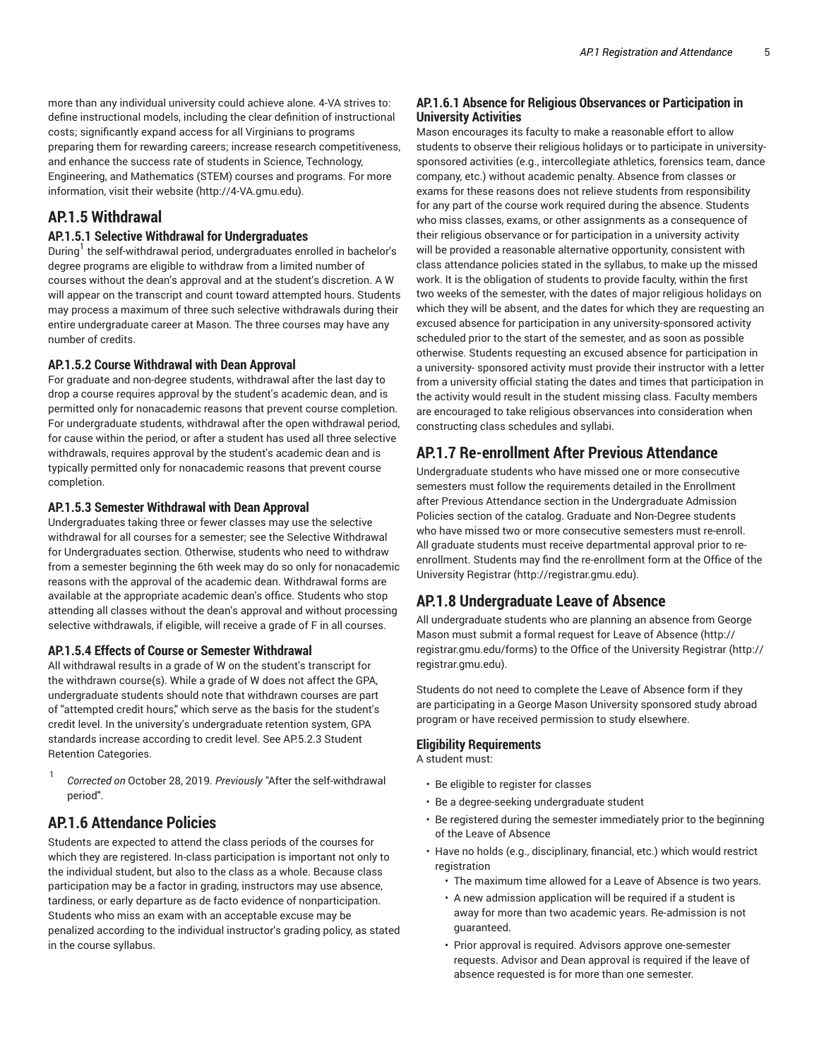more than any individual university could achieve alone. 4-VA strives to: define instructional models, including the clear definition of instructional costs; significantly expand access for all Virginians to programs preparing them for rewarding careers; increase research competitiveness, and enhance the success rate of students in Science, Technology, Engineering, and Mathematics (STEM) courses and programs. For more information, visit their website (http://4-VA.gmu.edu).

## **AP.1.5 Withdrawal**

#### **AP.1.5.1 Selective Withdrawal for Undergraduates**

During<sup>1</sup> the self-withdrawal period, undergraduates enrolled in bachelor's degree programs are eligible to withdraw from a limited number of courses without the dean's approval and at the student's discretion. A W will appear on the transcript and count toward attempted hours. Students may process a maximum of three such selective withdrawals during their entire undergraduate career at Mason. The three courses may have any number of credits.

#### **AP.1.5.2 Course Withdrawal with Dean Approval**

For graduate and non-degree students, withdrawal after the last day to drop a course requires approval by the student's academic dean, and is permitted only for nonacademic reasons that prevent course completion. For undergraduate students, withdrawal after the open withdrawal period, for cause within the period, or after a student has used all three selective withdrawals, requires approval by the student's academic dean and is typically permitted only for nonacademic reasons that prevent course completion.

#### **AP.1.5.3 Semester Withdrawal with Dean Approval**

Undergraduates taking three or fewer classes may use the selective withdrawal for all courses for a semester; see the Selective Withdrawal for Undergraduates section. Otherwise, students who need to withdraw from a semester beginning the 6th week may do so only for nonacademic reasons with the approval of the academic dean. Withdrawal forms are available at the appropriate academic dean's office. Students who stop attending all classes without the dean's approval and without processing selective withdrawals, if eligible, will receive a grade of F in all courses.

#### **AP.1.5.4 Effects of Course or Semester Withdrawal**

All withdrawal results in a grade of W on the student's transcript for the withdrawn course(s). While a grade of W does not affect the GPA, undergraduate students should note that withdrawn courses are part of "attempted credit hours," which serve as the basis for the student's credit level. In the university's undergraduate retention system, GPA standards increase according to credit level. See AP.5.2.3 Student Retention Categories.

1 *Corrected on* October 28, 2019. *Previously "*After the self-withdrawal period".

## **AP.1.6 Attendance Policies**

Students are expected to attend the class periods of the courses for which they are registered. In-class participation is important not only to the individual student, but also to the class as a whole. Because class participation may be a factor in grading, instructors may use absence, tardiness, or early departure as de facto evidence of nonparticipation. Students who miss an exam with an acceptable excuse may be penalized according to the individual instructor's grading policy, as stated in the course syllabus.

#### **AP.1.6.1 Absence for Religious Observances or Participation in University Activities**

Mason encourages its faculty to make a reasonable effort to allow students to observe their religious holidays or to participate in universitysponsored activities (e.g., intercollegiate athletics, forensics team, dance company, etc.) without academic penalty. Absence from classes or exams for these reasons does not relieve students from responsibility for any part of the course work required during the absence. Students who miss classes, exams, or other assignments as a consequence of their religious observance or for participation in a university activity will be provided a reasonable alternative opportunity, consistent with class attendance policies stated in the syllabus, to make up the missed work. It is the obligation of students to provide faculty, within the first two weeks of the semester, with the dates of major religious holidays on which they will be absent, and the dates for which they are requesting an excused absence for participation in any university-sponsored activity scheduled prior to the start of the semester, and as soon as possible otherwise. Students requesting an excused absence for participation in a university- sponsored activity must provide their instructor with a letter from a university official stating the dates and times that participation in the activity would result in the student missing class. Faculty members are encouraged to take religious observances into consideration when constructing class schedules and syllabi.

## **AP.1.7 Re-enrollment After Previous Attendance**

Undergraduate students who have missed one or more consecutive semesters must follow the requirements detailed in the Enrollment after Previous Attendance section in the Undergraduate Admission Policies section of the catalog. Graduate and Non-Degree students who have missed two or more consecutive semesters must re-enroll. All graduate students must receive departmental approval prior to reenrollment. Students may find the re-enrollment form at the Office of the University Registrar (http://registrar.gmu.edu).

## **AP.1.8 Undergraduate Leave of Absence**

All undergraduate students who are planning an absence from George Mason must submit a formal request for Leave of Absence (http:// registrar.gmu.edu/forms) to the Office of the University Registrar (http:// registrar.gmu.edu).

Students do not need to complete the Leave of Absence form if they are participating in a George Mason University sponsored study abroad program or have received permission to study elsewhere.

#### **Eligibility Requirements**

A student must:

- Be eligible to register for classes
- Be a degree-seeking undergraduate student
- Be registered during the semester immediately prior to the beginning of the Leave of Absence
- Have no holds (e.g., disciplinary, financial, etc.) which would restrict registration
	- The maximum time allowed for a Leave of Absence is two years.
	- A new admission application will be required if a student is away for more than two academic years. Re-admission is not guaranteed.
	- Prior approval is required. Advisors approve one-semester requests. Advisor and Dean approval is required if the leave of absence requested is for more than one semester.